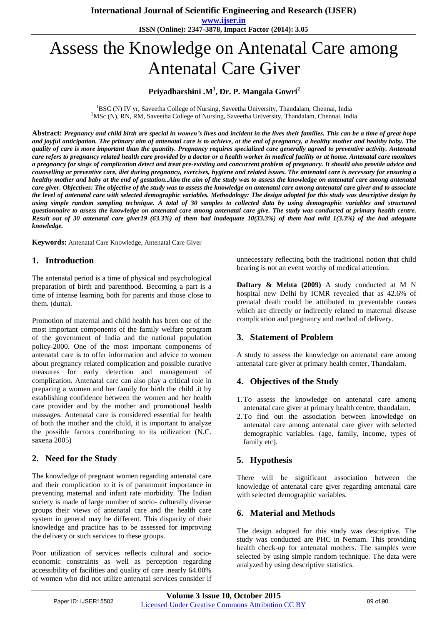**www.ijser.in ISSN (Online): 2347-3878, Impact Factor (2014): 3.05**

# Assess the Knowledge on Antenatal Care among Antenatal Care Giver

# **Priyadharshini .M<sup>1</sup> , Dr. P. Mangala Gowri<sup>2</sup>**

 ${}^{1}$ BSC (N) IV yr, Saveetha College of Nursing, Saveetha University, Thandalam, Chennai, India <sup>2</sup>MSc (N), RN, RM, Saveetha College of Nursing, Saveetha University, Thandalam, Chennai, India

**Abstract:** *Pregnancy and child birth are special in women's lives and incident in the lives their families. This can be a time of great hope and joyful anticipation. The primary aim of antenatal care is to achieve, at the end of pregnancy, a healthy mother and healthy baby. The quality of care is more important than the quantity. Pregnancy requires specialized care generally agreed to preventive activity. Antenatal care refers to pregnancy related health care provided by a doctor or a health worker in medical facility or at home. Antenatal care monitors a pregnancy for sings of complication detect and treat pre-existing and concurrent problem of pregnancy. It should also provide advice and counselling or preventive care, diet during pregnancy, exercises, hygiene and related issues. The antenatal care is necessary for ensuring a healthy mother and baby at the end of gestation..Aim the aim of the study was to assess the knowledge on antenatal care among antenatal care giver. Objectives: The objective of the study was to assess the knowledge on antenatal care among antenatal care giver and to associate the level of antenatal care with selected demographic variables. Methodology: The design adopted for this study was descriptive design by using simple random sampling technique. A total of 30 samples to collected data by using demographic variables and structured questionnaire to assess the knowledge on antenatal care among antenatal care give. The study was conducted at primary health centre. Result out of 30 antenatal care giver19 (63.3%) of them had inadequate 10(33.3%) of them had mild 1(3.3%) of the had adequate knowledge.*

**Keywords:** Antenatal Care Knowledge, Antenatal Care Giver

#### **1. Introduction**

The antenatal period is a time of physical and psychological preparation of birth and parenthood. Becoming a part is a time of intense learning both for parents and those close to them. (dutta).

Promotion of maternal and child health has been one of the most important components of the family welfare program of the government of India and the national population policy-2000. One of the most important components of antenatal care is to offer information and advice to women about pregnancy related complication and possible curative measures for early detection and management of complication. Antenatal care can also play a critical role in preparing a women and her family for birth the child .it by establishing confidence between the women and her health care provider and by the mother and promotional health massages. Antenatal care is considered essential for health of both the mother and the child, it is important to analyze the possible factors contributing to its utilization (N.C. saxena 2005)

# **2. Need for the Study**

The knowledge of pregnant women regarding antenatal care and their complication to it is of paramount importance in preventing maternal and infant rate morbidity. The Indian society is made of large number of socio- culturally diverse groups their views of antenatal care and the health care system in general may be different. This disparity of their knowledge and practice has to be assessed for improving the delivery or such services to these groups.

Poor utilization of services reflects cultural and socioeconomic constraints as well as perception regarding accessibility of facilities and quality of care .nearly 64.00% of women who did not utilize antenatal services consider if unnecessary reflecting both the traditional notion that child bearing is not an event worthy of medical attention.

**Daftary & Mehta (2009)** A study conducted at M N hospital new Delhi by ICMR revealed that as 42.6% of prenatal death could be attributed to preventable causes which are directly or indirectly related to maternal disease complication and pregnancy and method of delivery.

# **3. Statement of Problem**

A study to assess the knowledge on antenatal care among antenatal care giver at primary health center, Thandalam.

# **4. Objectives of the Study**

- 1.To assess the knowledge on antenatal care among antenatal care giver at primary health centre, thandalam.
- 2.To find out the association between knowledge on antenatal care among antenatal care giver with selected demographic variables. (age, family, income, types of family etc).

# **5. Hypothesis**

There will be significant association between the knowledge of antenatal care giver regarding antenatal care with selected demographic variables.

# **6. Material and Methods**

The design adopted for this study was descriptive. The study was conducted are PHC in Nemam. This providing health check-up for antenatal mothers. The samples were selected by using simple random technique. The data were analyzed by using descriptive statistics.